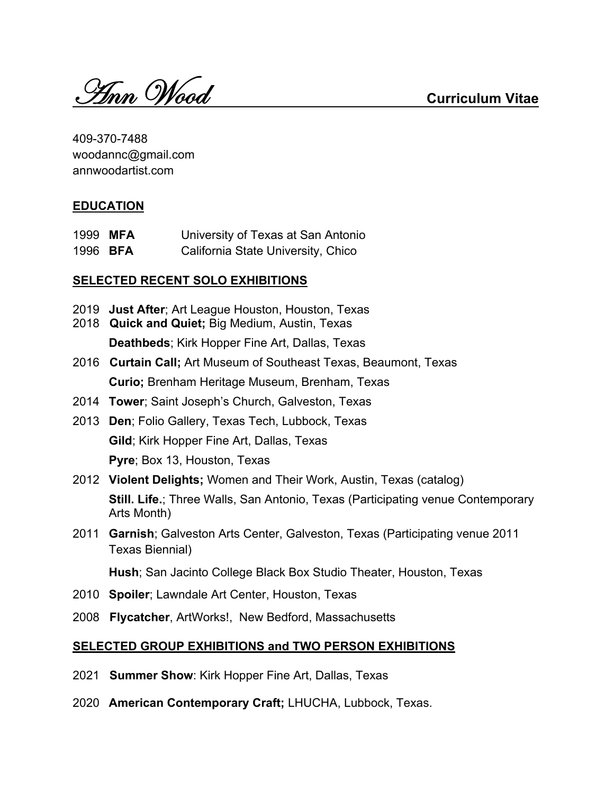Ann Wood **Curriculum Vitae**

409-370-7488 woodannc@gmail.com annwoodartist.com

# **EDUCATION**

1999 **MFA** University of Texas at San Antonio 1996 **BFA** California State University, Chico

### **SELECTED RECENT SOLO EXHIBITIONS**

- 2019 **Just After**; Art League Houston, Houston, Texas
- 2018 **Quick and Quiet;** Big Medium, Austin, Texas **Deathbeds**; Kirk Hopper Fine Art, Dallas, Texas
- 2016 **Curtain Call;** Art Museum of Southeast Texas, Beaumont, Texas **Curio;** Brenham Heritage Museum, Brenham, Texas
- 2014 **Tower**; Saint Joseph's Church, Galveston, Texas
- 2013 **Den**; Folio Gallery, Texas Tech, Lubbock, Texas **Gild**; Kirk Hopper Fine Art, Dallas, Texas **Pyre**; Box 13, Houston, Texas
- 2012 **Violent Delights;** Women and Their Work, Austin, Texas (catalog) **Still. Life.**; Three Walls, San Antonio, Texas (Participating venue Contemporary Arts Month)
- 2011 **Garnish**; Galveston Arts Center, Galveston, Texas (Participating venue 2011 Texas Biennial)

**Hush**; San Jacinto College Black Box Studio Theater, Houston, Texas

- 2010 **Spoiler**; Lawndale Art Center, Houston, Texas
- 2008 **Flycatcher**, ArtWorks!, New Bedford, Massachusetts

### **SELECTED GROUP EXHIBITIONS and TWO PERSON EXHIBITIONS**

- 2021 **Summer Show**: Kirk Hopper Fine Art, Dallas, Texas
- 2020 **American Contemporary Craft;** LHUCHA, Lubbock, Texas.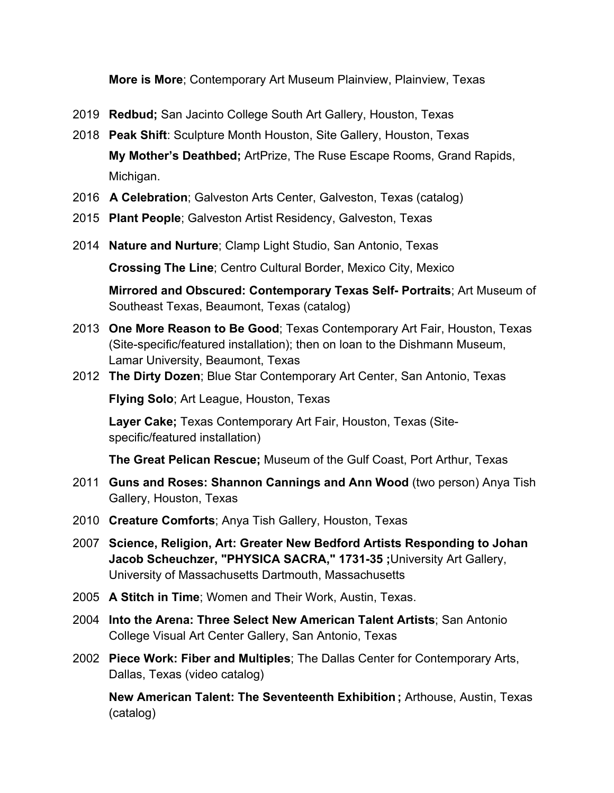**More is More**; Contemporary Art Museum Plainview, Plainview, Texas

- 2019 **Redbud;** San Jacinto College South Art Gallery, Houston, Texas
- 2018 **Peak Shift**: Sculpture Month Houston, Site Gallery, Houston, Texas **My Mother's Deathbed;** ArtPrize, The Ruse Escape Rooms, Grand Rapids, Michigan.
- 2016 **A Celebration**; Galveston Arts Center, Galveston, Texas (catalog)
- 2015 **Plant People**; Galveston Artist Residency, Galveston, Texas
- 2014 **Nature and Nurture**; Clamp Light Studio, San Antonio, Texas

**Crossing The Line**; Centro Cultural Border, Mexico City, Mexico

**Mirrored and Obscured: Contemporary Texas Self- Portraits**; Art Museum of Southeast Texas, Beaumont, Texas (catalog)

- 2013 **One More Reason to Be Good**; Texas Contemporary Art Fair, Houston, Texas (Site-specific/featured installation); then on loan to the Dishmann Museum, Lamar University, Beaumont, Texas
- 2012 **The Dirty Dozen**; Blue Star Contemporary Art Center, San Antonio, Texas

**Flying Solo**; Art League, Houston, Texas

**Layer Cake;** Texas Contemporary Art Fair, Houston, Texas (Sitespecific/featured installation)

**The Great Pelican Rescue;** Museum of the Gulf Coast, Port Arthur, Texas

- 2011 **Guns and Roses: Shannon Cannings and Ann Wood** (two person) Anya Tish Gallery, Houston, Texas
- 2010 **Creature Comforts**; Anya Tish Gallery, Houston, Texas
- 2007 **Science, Religion, Art: Greater New Bedford Artists Responding to Johan Jacob Scheuchzer, "PHYSICA SACRA," 1731-35 ;**University Art Gallery, University of Massachusetts Dartmouth, Massachusetts
- 2005 **A Stitch in Time**; Women and Their Work, Austin, Texas.
- 2004 **Into the Arena: Three Select New American Talent Artists**; San Antonio College Visual Art Center Gallery, San Antonio, Texas
- 2002 **Piece Work: Fiber and Multiples**; The Dallas Center for Contemporary Arts, Dallas, Texas (video catalog)

**New American Talent: The Seventeenth Exhibition ;** Arthouse, Austin, Texas (catalog)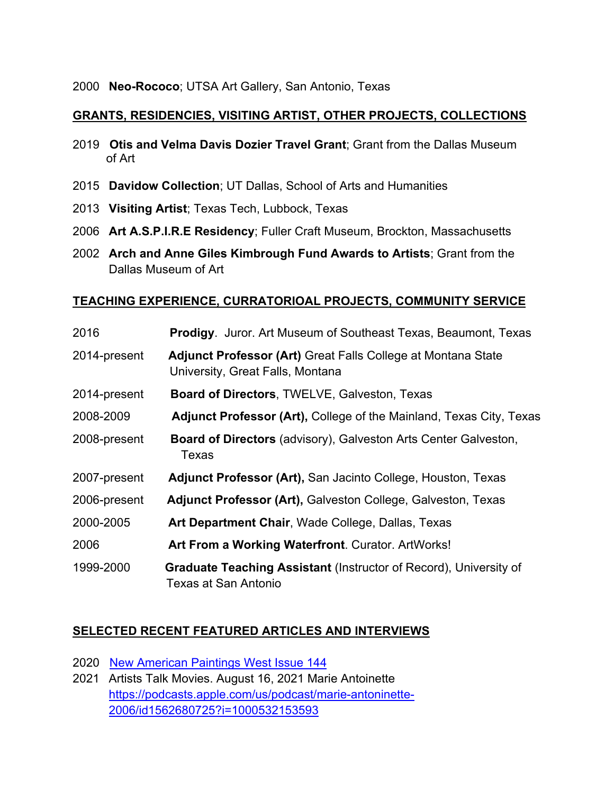### **GRANTS, RESIDENCIES, VISITING ARTIST, OTHER PROJECTS, COLLECTIONS**

- 2019 **Otis and Velma Davis Dozier Travel Grant**; Grant from the Dallas Museum of Art
- 2015 **Davidow Collection**; UT Dallas, School of Arts and Humanities
- 2013 **Visiting Artist**; Texas Tech, Lubbock, Texas
- 2006 **Art A.S.P.I.R.E Residency**; Fuller Craft Museum, Brockton, Massachusetts
- 2002 **Arch and Anne Giles Kimbrough Fund Awards to Artists**; Grant from the Dallas Museum of Art

#### **TEACHING EXPERIENCE, CURRATORIOAL PROJECTS, COMMUNITY SERVICE**

| 2016         | <b>Prodigy.</b> Juror. Art Museum of Southeast Texas, Beaumont, Texas                                   |
|--------------|---------------------------------------------------------------------------------------------------------|
| 2014-present | Adjunct Professor (Art) Great Falls College at Montana State<br>University, Great Falls, Montana        |
| 2014-present | <b>Board of Directors, TWELVE, Galveston, Texas</b>                                                     |
| 2008-2009    | <b>Adjunct Professor (Art), College of the Mainland, Texas City, Texas</b>                              |
| 2008-present | <b>Board of Directors</b> (advisory), Galveston Arts Center Galveston,<br>Texas                         |
| 2007-present | Adjunct Professor (Art), San Jacinto College, Houston, Texas                                            |
| 2006-present | Adjunct Professor (Art), Galveston College, Galveston, Texas                                            |
| 2000-2005    | Art Department Chair, Wade College, Dallas, Texas                                                       |
| 2006         | Art From a Working Waterfront. Curator. ArtWorks!                                                       |
| 1999-2000    | <b>Graduate Teaching Assistant (Instructor of Record), University of</b><br><b>Texas at San Antonio</b> |

#### **SELECTED RECENT FEATURED ARTICLES AND INTERVIEWS**

- 2020 New American Paintings West Issue 144
- 2021 Artists Talk Movies. August 16, 2021 Marie Antoinette https://podcasts.apple.com/us/podcast/marie-antoninette-2006/id1562680725?i=1000532153593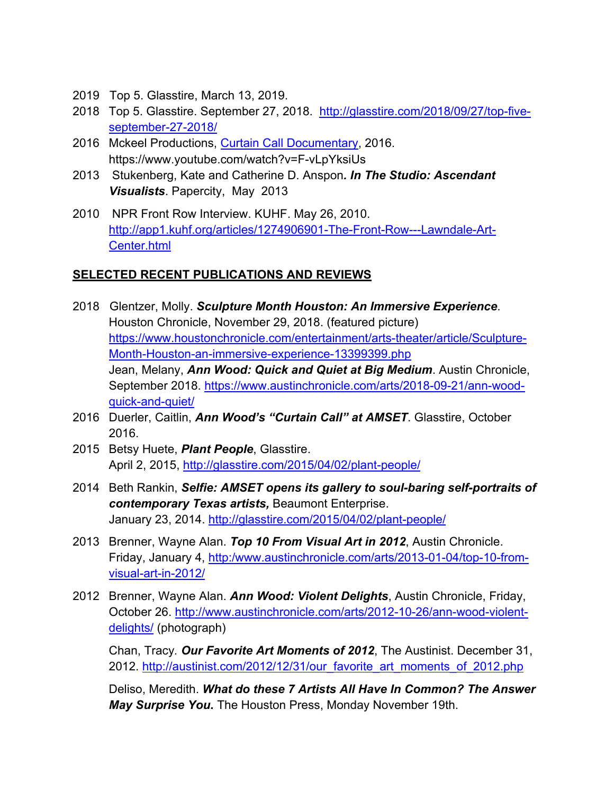- 2019 Top 5. Glasstire, March 13, 2019.
- 2018 Top 5. Glasstire. September 27, 2018. http://glasstire.com/2018/09/27/top-fiveseptember-27-2018/
- 2016 Mckeel Productions, Curtain Call Documentary, 2016. https://www.youtube.com/watch?v=F-vLpYksiUs
- 2013 Stukenberg, Kate and Catherine D. Anspon*. In The Studio: Ascendant Visualists*. Papercity, May 2013
- 2010 NPR Front Row Interview. KUHF. May 26, 2010. http://app1.kuhf.org/articles/1274906901-The-Front-Row---Lawndale-Art-Center.html

## **SELECTED RECENT PUBLICATIONS AND REVIEWS**

- 2018 Glentzer, Molly. *Sculpture Month Houston: An Immersive Experience*. Houston Chronicle, November 29, 2018. (featured picture) https://www.houstonchronicle.com/entertainment/arts-theater/article/Sculpture-Month-Houston-an-immersive-experience-13399399.php Jean, Melany, *Ann Wood: Quick and Quiet at Big Medium*. Austin Chronicle, September 2018. https://www.austinchronicle.com/arts/2018-09-21/ann-woodquick-and-quiet/
- 2016 Duerler, Caitlin, *Ann Wood's "Curtain Call" at AMSET*. Glasstire, October 2016.
- 2015 Betsy Huete, *Plant People*, Glasstire. April 2, 2015, http://glasstire.com/2015/04/02/plant-people/
- 2014 Beth Rankin, *Selfie: AMSET opens its gallery to soul-baring self-portraits of contemporary Texas artists,* Beaumont Enterprise. January 23, 2014. http://glasstire.com/2015/04/02/plant-people/
- 2013 Brenner, Wayne Alan. *Top 10 From Visual Art in 2012*, Austin Chronicle. Friday, January 4, http:/www.austinchronicle.com/arts/2013-01-04/top-10-fromvisual-art-in-2012/
- 2012 Brenner, Wayne Alan. *Ann Wood: Violent Delights*, Austin Chronicle, Friday, October 26. http://www.austinchronicle.com/arts/2012-10-26/ann-wood-violentdelights/ (photograph)

Chan, Tracy*. Our Favorite Art Moments of 2012*, The Austinist. December 31, 2012. http://austinist.com/2012/12/31/our\_favorite\_art\_moments\_of\_2012.php

Deliso, Meredith. *What do these 7 Artists All Have In Common? The Answer May Surprise You.* The Houston Press, Monday November 19th.